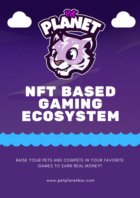

# NFT BASED GAMING ECOSYSTEM

RAISE YOUR PETS AND COMPETE IN YOUR FAVORITE GAMES TO EARN REAL MONEY!

www.petplanetbsc.com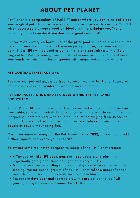### ABOUT PET PLANET

Pet Planet is a compendium of P2E NFT games where you can raise and breed your magical pets. In our ecosystem, each player starts with a unique Cat NFT which possesses a unique stored-on-blockchain trait; Endurance. That's correct, your pet can die if you don't take good care of it!

Approximately every 24 hours, 10% of the prize pool will be paid out to all the pets that are alive. That means the more pets you have, the more you will earn! These NFTs will be used in-game in a later stage, along with different magical NFT Pets as more games and skills become available. You will have your hands full raising different species with unique behaviors and traits.

#### NFT CONTRACT INTERACTIONS

Feeding your pet will always be free. However, owning Pet Planet Tokens will be necessary in order to interact with the smart contract.

#### PET CHARACTERISTICS AND FEATURES WITHIN THE PETPLANET ECOSYSTEM

All Pet Planet NFT pets are unique. They are minted with a unique ID and an immutable, set-on-blockchain Endurance value that is used to determine their lifespan. All pets are born with an initial Endurance ranging from 40,000 to 100,000. This means they can live from anywhere between a few hours to a couple of days without being fed.

Our governance currency are the Pet Planet tokens (\$PP), they will be used to further improve and evolve your pet stills.

Below are some top-notch competitive edges of the Pet Planet project:

- A Tamagotchi-like NFT ecosystem that is so addictive to play, it will organically gain global traction organically very quickly.
- Multiple revenue-generating sources for players and investors: Pet NFTs trading, market capital growth of the Pet Planet tokens, auto reflection rewards, and prize pool dividends for the NFT holders.
- Passionate developer and team to grow this project as the top P2E gaming ecosystem on the Binance Smart Chain.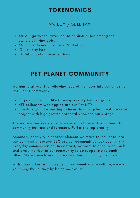### TOKENOMICS

### 9% BUY / SELL TAX

- 4% Will go to the Prize Pool to be distributed among the owners of living pets.
- 3% Game Development and Marketing
- 1% Liquidity Pool
- 1% Pet Planet auto-reflections

### PET PLANET COMMUNITY

We aim to attract the following type of members into our amazing Pet Planet community:

- Players who would like to enjoy a really fun P2E game.
- NFT collectors who appreciate our Pet NFTs.
- Investors who are seeking to invest in a long-term real use case project with high growth potential since the early stage.

There are a few key elements we wish to form as the culture of our community but first and foremost, FUN is the top priority.

Secondly, positivity is another element we strive to inculcate into our community. Several BSC project communities lack positivity in everyday communication. In contrast, we want to encourage each and every member in our community to be supportive to each other. Show some love and care to other community members.

With these 2 key principles as our community core culture, we wish you enjoy the journey by being part of us.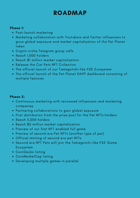## ROADMAP

#### Phase 1:

- Post-launch marketing
- Marketing collaboration with Youtubers and Twitter influencers to grow global exposure and market capitalization of the Pet Planet token
- Crypto-niche Telegram group calls
- Reach 1,000 holders
- Reach \$1 million market capitalization
- Release the Cat Pets NFT Collection
- The official launch of our Tamagotchi-like P2E Ecosystem
- The official launch of the Pet Planet DAPP dashboard consisting of multiple features

#### Phase 2:

- Continuous marketing with renowned influencers and marketing companies
- Partnering collaborations to gain global exposure
- First distribution from the prize pool for the Pet NFTs holders
- Reach 5,000 holders
- Reach \$5 million market capitalization
- Preview of our first NFT enabled full game
- Preview of second era Pet NFTs (another type of pet)
- Official minting of second era pet NFTs
- Second era NFT Pets will join the Tamagotchi-like P2E Game Ecosystem
- CoinGecko listing
- CoinMarketCap listing
- Developing multiple games in parallel